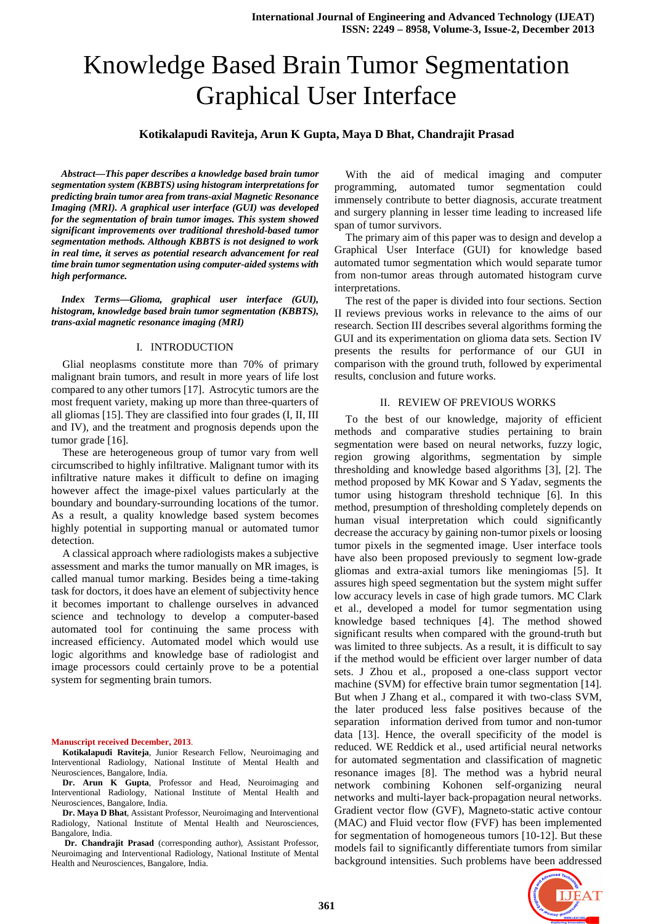# Knowledge Based Brain Tumor Segmentation Graphical User Interface

### **Kotikalapudi Raviteja, Arun K Gupta, Maya D Bhat, Chandrajit Prasad**

*Abstract***—***This paper describes a knowledge based brain tumor segmentation system (KBBTS) using histogram interpretations for predicting brain tumor area from trans-axial Magnetic Resonance Imaging (MRI). A graphical user interface (GUI) was developed for the segmentation of brain tumor images. This system showed significant improvements over traditional threshold-based tumor segmentation methods. Although KBBTS is not designed to work in real time, it serves as potential research advancement for real time brain tumor segmentation using computer-aided systems with high performance.* 

*Index Terms***—***Glioma, graphical user interface (GUI), histogram, knowledge based brain tumor segmentation (KBBTS), trans-axial magnetic resonance imaging (MRI)* 

#### I. INTRODUCTION

Glial neoplasms constitute more than 70% of primary malignant brain tumors, and result in more years of life lost compared to any other tumors [17]. Astrocytic tumors are the most frequent variety, making up more than three-quarters of all gliomas [15]. They are classified into four grades (I, II, III and IV), and the treatment and prognosis depends upon the tumor grade [16].

These are heterogeneous group of tumor vary from well circumscribed to highly infiltrative. Malignant tumor with its infiltrative nature makes it difficult to define on imaging however affect the image-pixel values particularly at the boundary and boundary-surrounding locations of the tumor. As a result, a quality knowledge based system becomes highly potential in supporting manual or automated tumor detection.

A classical approach where radiologists makes a subjective assessment and marks the tumor manually on MR images, is called manual tumor marking. Besides being a time-taking task for doctors, it does have an element of subjectivity hence it becomes important to challenge ourselves in advanced science and technology to develop a computer-based automated tool for continuing the same process with increased efficiency. Automated model which would use logic algorithms and knowledge base of radiologist and image processors could certainly prove to be a potential system for segmenting brain tumors.

#### **Manuscript received December, 2013**.

**Kotikalapudi Raviteja**, Junior Research Fellow, Neuroimaging and Interventional Radiology, National Institute of Mental Health and Neurosciences, Bangalore, India.

**Dr. Arun K Gupta**, Professor and Head, Neuroimaging and Interventional Radiology, National Institute of Mental Health and Neurosciences, Bangalore, India.

**Dr. Maya D Bhat**, Assistant Professor, Neuroimaging and Interventional Radiology, National Institute of Mental Health and Neurosciences, Bangalore, India.

**Dr. Chandrajit Prasad** (corresponding author), Assistant Professor, Neuroimaging and Interventional Radiology, National Institute of Mental Health and Neurosciences, Bangalore, India.

With the aid of medical imaging and computer programming, automated tumor segmentation could immensely contribute to better diagnosis, accurate treatment and surgery planning in lesser time leading to increased life span of tumor survivors.

 The primary aim of this paper was to design and develop a Graphical User Interface (GUI) for knowledge based automated tumor segmentation which would separate tumor from non-tumor areas through automated histogram curve interpretations.

 The rest of the paper is divided into four sections. Section II reviews previous works in relevance to the aims of our research. Section III describes several algorithms forming the GUI and its experimentation on glioma data sets. Section IV presents the results for performance of our GUI in comparison with the ground truth, followed by experimental results, conclusion and future works.

#### II. REVIEW OF PREVIOUS WORKS

To the best of our knowledge, majority of efficient methods and comparative studies pertaining to brain segmentation were based on neural networks, fuzzy logic, region growing algorithms, segmentation by simple thresholding and knowledge based algorithms [3], [2]. The method proposed by MK Kowar and S Yadav, segments the tumor using histogram threshold technique [6]. In this method, presumption of thresholding completely depends on human visual interpretation which could significantly decrease the accuracy by gaining non-tumor pixels or loosing tumor pixels in the segmented image. User interface tools have also been proposed previously to segment low-grade gliomas and extra-axial tumors like meningiomas [5]. It assures high speed segmentation but the system might suffer low accuracy levels in case of high grade tumors. MC Clark et al., developed a model for tumor segmentation using knowledge based techniques [4]. The method showed significant results when compared with the ground-truth but was limited to three subjects. As a result, it is difficult to say if the method would be efficient over larger number of data sets. J Zhou et al., proposed a one-class support vector machine (SVM) for effective brain tumor segmentation [14]. But when J Zhang et al., compared it with two-class SVM, the later produced less false positives because of the separation information derived from tumor and non-tumor data [13]. Hence, the overall specificity of the model is reduced. WE Reddick et al., used artificial neural networks for automated segmentation and classification of magnetic resonance images [8]. The method was a hybrid neural network combining Kohonen self-organizing neural networks and multi-layer back-propagation neural networks. Gradient vector flow (GVF), Magneto-static active contour (MAC) and Fluid vector flow (FVF) has been implemented for segmentation of homogeneous tumors [10-12]. But these models fail to significantly differentiate tumors from similar background intensities. Such problems have been addressed

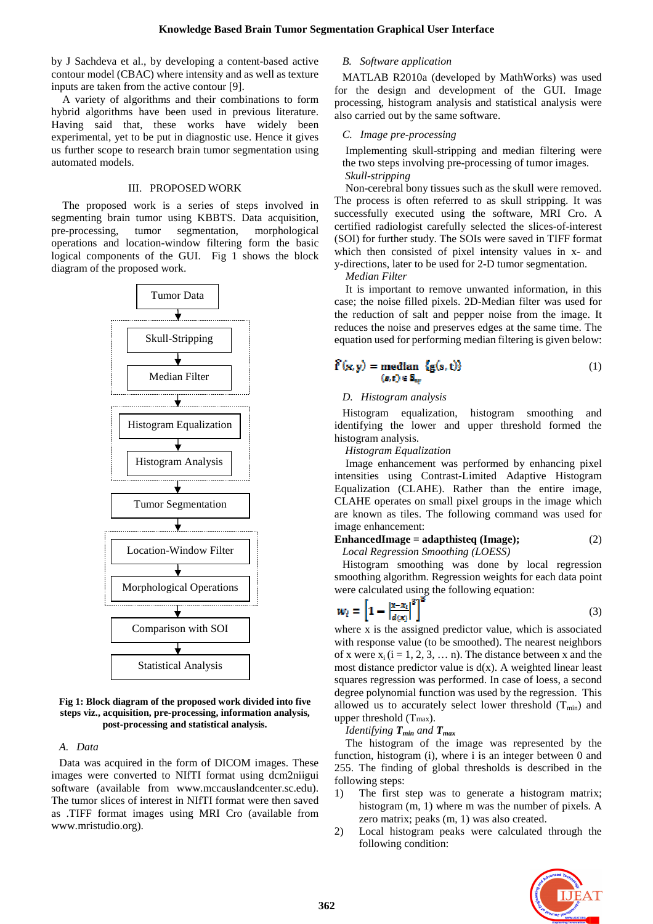by J Sachdeva et al., by developing a content-based active contour model (CBAC) where intensity and as well as texture inputs are taken from the active contour [9].

A variety of algorithms and their combinations to form hybrid algorithms have been used in previous literature. Having said that, these works have widely been experimental, yet to be put in diagnostic use. Hence it gives us further scope to research brain tumor segmentation using automated models.

### III. PROPOSED WORK

The proposed work is a series of steps involved in segmenting brain tumor using KBBTS. Data acquisition, pre-processing, tumor segmentation, morphological operations and location-window filtering form the basic logical components of the GUI. Fig 1 shows the block diagram of the proposed work.



**Fig 1: Block diagram of the proposed work divided into five steps viz., acquisition, pre-processing, information analysis, post-processing and statistical analysis.**

#### *A. Data*

Data was acquired in the form of DICOM images. These images were converted to NIfTI format using dcm2niigui software (available from www.mccauslandcenter.sc.edu). The tumor slices of interest in NIfTI format were then saved as .TIFF format images using MRI Cro (available from www.mristudio.org).

## *B. Software application*

MATLAB R2010a (developed by MathWorks) was used for the design and development of the GUI. Image processing, histogram analysis and statistical analysis were also carried out by the same software.

#### *C. Image pre-processing*

Implementing skull-stripping and median filtering were the two steps involving pre-processing of tumor images. *Skull-stripping* 

Non-cerebral bony tissues such as the skull were removed. The process is often referred to as skull stripping. It was successfully executed using the software, MRI Cro. A certified radiologist carefully selected the slices-of-interest (SOI) for further study. The SOIs were saved in TIFF format which then consisted of pixel intensity values in x- and y-directions, later to be used for 2-D tumor segmentation.

*Median Filter* 

It is important to remove unwanted information, in this case; the noise filled pixels. 2D-Median filter was used for the reduction of salt and pepper noise from the image. It reduces the noise and preserves edges at the same time. The equation used for performing median filtering is given below:

$$
\hat{f}'(\mathbf{x}, \mathbf{y}) = \text{median} \{ \mathbf{g}(\mathbf{s}, \mathbf{t}) \} \tag{1}
$$

#### *D. Histogram analysis*

Histogram equalization, histogram smoothing and identifying the lower and upper threshold formed the histogram analysis.

 *Histogram Equalization* 

Image enhancement was performed by enhancing pixel intensities using Contrast-Limited Adaptive Histogram Equalization (CLAHE). Rather than the entire image, CLAHE operates on small pixel groups in the image which are known as tiles. The following command was used for image enhancement:

# **EnhancedImage = adapthisteq (Image);** (2)

*Local Regression Smoothing (LOESS)* 

Histogram smoothing was done by local regression smoothing algorithm. Regression weights for each data point were calculated using the following equation:

$$
w_i = \left[1 - \left|\frac{x - x_i}{d(x)}\right|^3\right]^{\alpha} \tag{3}
$$

where x is the assigned predictor value, which is associated with response value (to be smoothed). The nearest neighbors of x were  $x_i$  ( $i = 1, 2, 3, \dots$  n). The distance between x and the most distance predictor value is  $d(x)$ . A weighted linear least squares regression was performed. In case of loess, a second degree polynomial function was used by the regression. This allowed us to accurately select lower threshold  $(T_{min})$  and upper threshold (Tmax).

*Identifying Tmin and Tmax* 

The histogram of the image was represented by the function, histogram (i), where i is an integer between 0 and 255. The finding of global thresholds is described in the following steps:

- 1) The first step was to generate a histogram matrix; histogram (m, 1) where m was the number of pixels. A zero matrix; peaks (m, 1) was also created.
- 2) Local histogram peaks were calculated through the following condition:

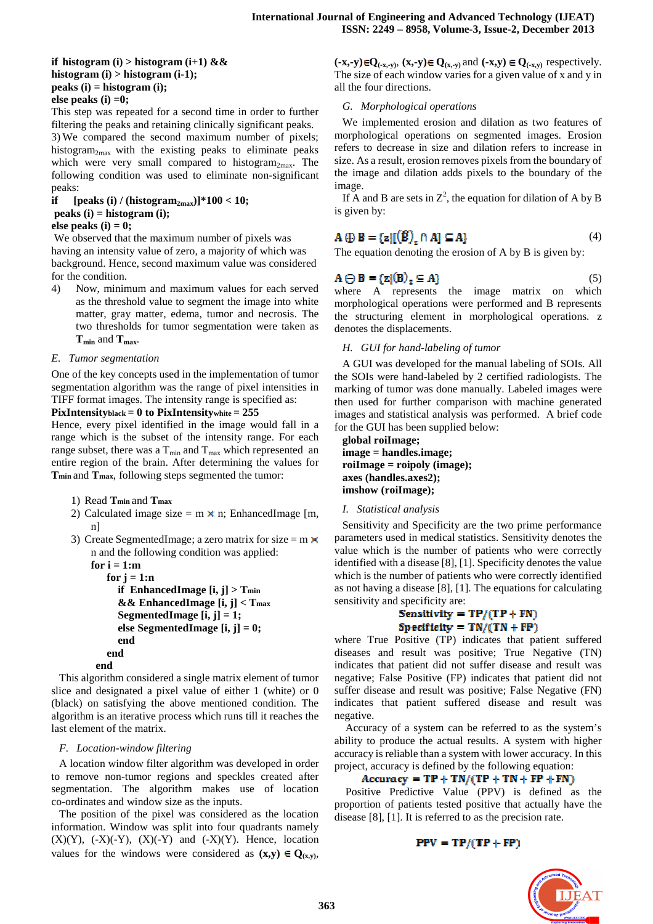## **if histogram (i) > histogram (i+1) && histogram (i) > histogram (i-1); peaks (i) = histogram (i); else peaks (i) =0;**

This step was repeated for a second time in order to further filtering the peaks and retaining clinically significant peaks. 3) We compared the second maximum number of pixels; histogram $_{2\text{max}}$  with the existing peaks to eliminate peaks which were very small compared to histogram<sub>2max</sub>. The following condition was used to eliminate non-significant peaks:

**if** [peaks (i) / (histogram<sub>2max</sub>)]\*100 < 10;  **peaks (i) = histogram (i); else peaks (i) = 0;** 

We observed that the maximum number of pixels was having an intensity value of zero, a majority of which was background. Hence, second maximum value was considered for the condition.

4) Now, minimum and maximum values for each served as the threshold value to segment the image into white matter, gray matter, edema, tumor and necrosis. The two thresholds for tumor segmentation were taken as **Tmin** and **Tmax**.

### *E. Tumor segmentation*

One of the key concepts used in the implementation of tumor segmentation algorithm was the range of pixel intensities in TIFF format images. The intensity range is specified as:

### **PixIntensityblack = 0 to PixIntensitywhite = 255**

Hence, every pixel identified in the image would fall in a range which is the subset of the intensity range. For each range subset, there was a  $T_{min}$  and  $T_{max}$  which represented an entire region of the brain. After determining the values for **Tmin** and **Tmax**, following steps segmented the tumor:

```
1) Read Tmin and Tmax
```
- 2) Calculated image size =  $m \times n$ ; EnhancedImage [m, n]
- 3) Create SegmentedImage; a zero matrix for size =  $m \times$ n and the following condition was applied:

```
for i = 1:m 
   for j = 1:nif EnhancedImage [i, j] > Tmin
      && EnhancedImage [i, j] < Tmax
      SegmentedImage [i, j] = 1; 
      else SegmentedImage [i, j] = 0; 
      end 
    end
```

```
end
```
This algorithm considered a single matrix element of tumor slice and designated a pixel value of either 1 (white) or 0 (black) on satisfying the above mentioned condition. The algorithm is an iterative process which runs till it reaches the last element of the matrix.

# *F. Location-window filtering*

A location window filter algorithm was developed in order to remove non-tumor regions and speckles created after segmentation. The algorithm makes use of location co-ordinates and window size as the inputs.

The position of the pixel was considered as the location information. Window was split into four quadrants namely  $(X)(Y)$ ,  $(-X)(-Y)$ ,  $(X)(-Y)$  and  $(-X)(Y)$ . Hence, location values for the windows were considered as  $(\mathbf{x}, \mathbf{y}) \in \mathbb{Q}_{(\mathbf{x}, \mathbf{y})}$ ,

 $(\text{-}x, -y) \in Q_{(\text{-}x, -y)}$ ,  $(x, -y) \in Q_{(x, -y)}$  and  $(\text{-}x, y) \in Q_{(\text{-}x, y)}$  respectively. The size of each window varies for a given value of x and y in all the four directions.

# *G. Morphological operations*

We implemented erosion and dilation as two features of morphological operations on segmented images. Erosion refers to decrease in size and dilation refers to increase in size. As a result, erosion removes pixels from the boundary of the image and dilation adds pixels to the boundary of the image.

If A and B are sets in  $Z^2$ , the equation for dilation of A by B is given by:

$$
\mathbf{A} \oplus \mathbf{B} = \{ \mathbf{z} | [(\widehat{\mathbf{B}})]_z \cap \mathbf{A} \} \subseteq \mathbf{A} \}
$$
(4)

The equation denoting the erosion of A by B is given by:

# $(5)$

where A represents the image matrix on which morphological operations were performed and B represents the structuring element in morphological operations. z denotes the displacements.

# *H. GUI for hand-labeling of tumor*

A GUI was developed for the manual labeling of SOIs. All the SOIs were hand-labeled by 2 certified radiologists. The marking of tumor was done manually. Labeled images were then used for further comparison with machine generated images and statistical analysis was performed. A brief code for the GUI has been supplied below:

```
global roiImage; 
image = handles.image; 
roiImage = roipoly (image); 
axes (handles.axes2); 
imshow (roiImage);
```
# *I. Statistical analysis*

Sensitivity and Specificity are the two prime performance parameters used in medical statistics. Sensitivity denotes the value which is the number of patients who were correctly identified with a disease [8], [1]. Specificity denotes the value which is the number of patients who were correctly identified as not having a disease [8], [1]. The equations for calculating sensitivity and specificity are:

where True Positive (TP) indicates that patient suffered diseases and result was positive; True Negative (TN) indicates that patient did not suffer disease and result was negative; False Positive (FP) indicates that patient did not suffer disease and result was positive; False Negative (FN) indicates that patient suffered disease and result was negative.

Accuracy of a system can be referred to as the system's ability to produce the actual results. A system with higher accuracy is reliable than a system with lower accuracy. In this project, accuracy is defined by the following equation:

# $Accuracy = TP + TN/(TP + TN + FP + FN)$

Positive Predictive Value (PPV) is defined as the proportion of patients tested positive that actually have the disease [8], [1]. It is referred to as the precision rate.

# $PPV = TP/(TP + FP)$

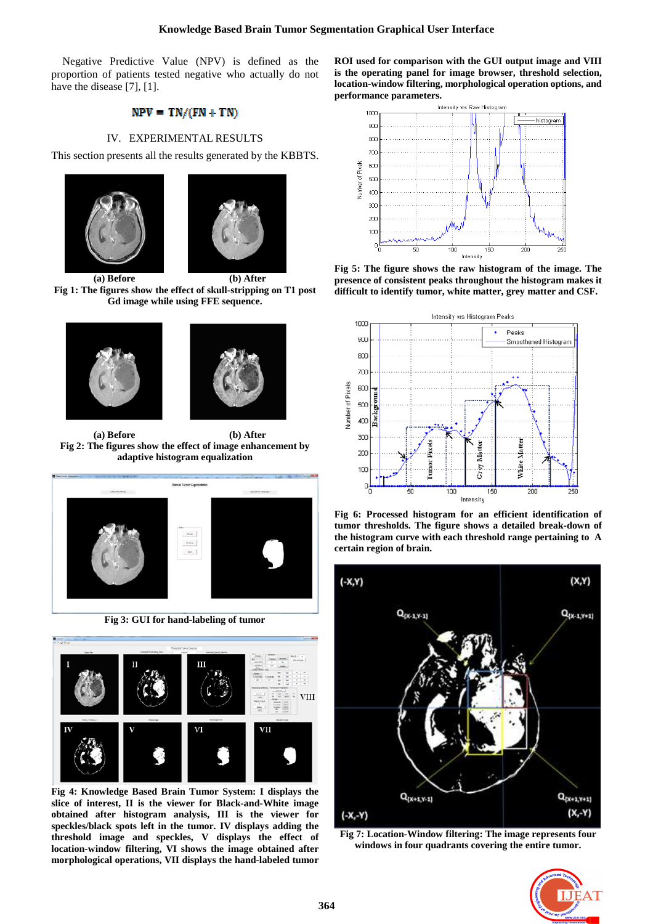Negative Predictive Value (NPV) is defined as the proportion of patients tested negative who actually do not have the disease [7], [1].

# $NPV = TN/(FN + TN)$

#### IV. EXPERIMENTAL RESULTS

This section presents all the results generated by the KBBTS.





 **(a) Before (b) After Fig 1: The figures show the effect of skull-stripping on T1 post Gd image while using FFE sequence.** 





 **(a) Before (b) After Fig 2: The figures show the effect of image enhancement by adaptive histogram equalization** 



**Fig 3: GUI for hand-labeling of tumor** 



**Fig 4: Knowledge Based Brain Tumor System: I displays the slice of interest, II is the viewer for Black-and-White image obtained after histogram analysis, III is the viewer for speckles/black spots left in the tumor. IV displays adding the threshold image and speckles, V displays the effect of location-window filtering, VI shows the image obtained after morphological operations, VII displays the hand-labeled tumor** 

**ROI used for comparison with the GUI output image and VIII is the operating panel for image browser, threshold selection, location-window filtering, morphological operation options, and performance parameters.**



**Fig 5: The figure shows the raw histogram of the image. The presence of consistent peaks throughout the histogram makes it difficult to identify tumor, white matter, grey matter and CSF.** 



**Fig 6: Processed histogram for an efficient identification of tumor thresholds. The figure shows a detailed break-down of the histogram curve with each threshold range pertaining to A certain region of brain.** 



**Fig 7: Location-Window filtering: The image represents four windows in four quadrants covering the entire tumor.** 

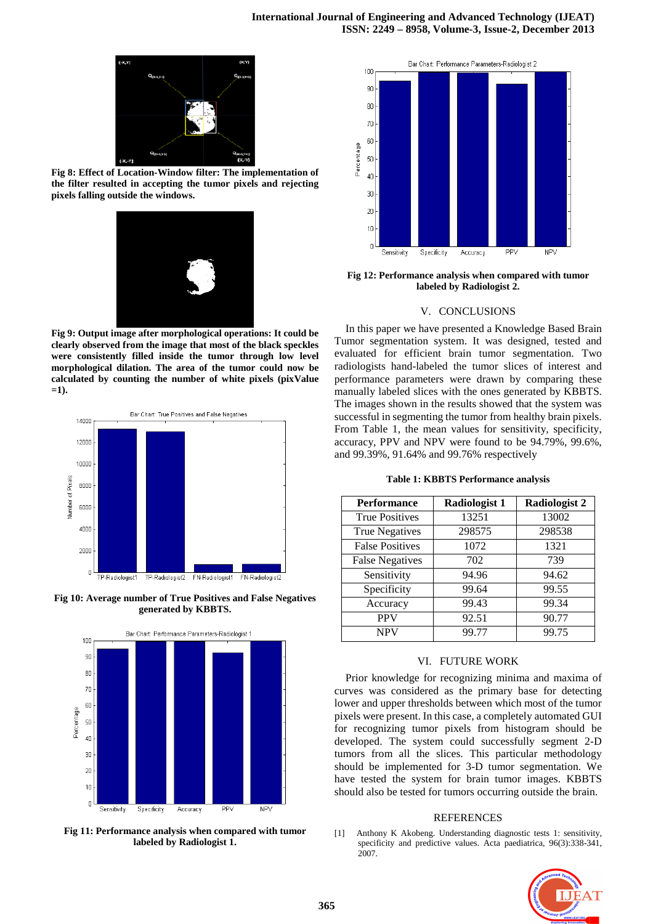

**Fig 8: Effect of Location-Window filter: The implementation of the filter resulted in accepting the tumor pixels and rejecting pixels falling outside the windows.** 



**Fig 9: Output image after morphological operations: It could be clearly observed from the image that most of the black speckles were consistently filled inside the tumor through low level morphological dilation. The area of the tumor could now be calculated by counting the number of white pixels (pixValue =1).** 



**Fig 10: Average number of True Positives and False Negatives generated by KBBTS.** 



**Fig 11: Performance analysis when compared with tumor labeled by Radiologist 1.** 



**Fig 12: Performance analysis when compared with tumor labeled by Radiologist 2.**

#### V. CONCLUSIONS

In this paper we have presented a Knowledge Based Brain Tumor segmentation system. It was designed, tested and evaluated for efficient brain tumor segmentation. Two radiologists hand-labeled the tumor slices of interest and performance parameters were drawn by comparing these manually labeled slices with the ones generated by KBBTS. The images shown in the results showed that the system was successful in segmenting the tumor from healthy brain pixels. From Table 1, the mean values for sensitivity, specificity, accuracy, PPV and NPV were found to be 94.79%, 99.6%, and 99.39%, 91.64% and 99.76% respectively

#### **Table 1: KBBTS Performance analysis**

| <b>Performance</b>     | Radiologist 1 | <b>Radiologist 2</b> |
|------------------------|---------------|----------------------|
| <b>True Positives</b>  | 13251         | 13002                |
| <b>True Negatives</b>  | 298575        | 298538               |
| <b>False Positives</b> | 1072          | 1321                 |
| <b>False Negatives</b> | 702           | 739                  |
| Sensitivity            | 94.96         | 94.62                |
| Specificity            | 99.64         | 99.55                |
| Accuracy               | 99.43         | 99.34                |
| <b>PPV</b>             | 92.51         | 90.77                |
| <b>NPV</b>             | 99.77         | 99.75                |

#### VI. FUTURE WORK

Prior knowledge for recognizing minima and maxima of curves was considered as the primary base for detecting lower and upper thresholds between which most of the tumor pixels were present. In this case, a completely automated GUI for recognizing tumor pixels from histogram should be developed. The system could successfully segment 2-D tumors from all the slices. This particular methodology should be implemented for 3-D tumor segmentation. We have tested the system for brain tumor images. KBBTS should also be tested for tumors occurring outside the brain.

#### REFERENCES

[1] Anthony K Akobeng. Understanding diagnostic tests 1: sensitivity, specificity and predictive values. Acta paediatrica, 96(3):338-341, 2007.